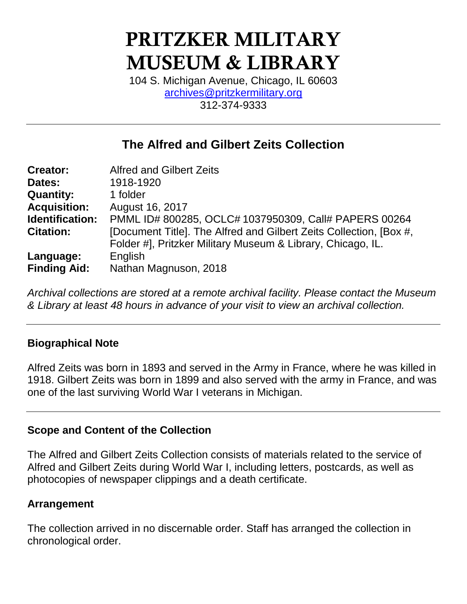# **PRITZKER MILITARY MUSEUM & LIBRARY**

104 S. Michigan Avenue, Chicago, IL 60603 [archives@pritzkermilitary.org](mailto:archives@pritzkermilitary.org) 312-374-9333

## **The Alfred and Gilbert Zeits Collection**

| <b>Creator:</b>     | <b>Alfred and Gilbert Zeits</b>                                    |  |  |  |
|---------------------|--------------------------------------------------------------------|--|--|--|
| Dates:              | 1918-1920                                                          |  |  |  |
| <b>Quantity:</b>    | 1 folder                                                           |  |  |  |
| <b>Acquisition:</b> | August 16, 2017                                                    |  |  |  |
| Identification:     | PMML ID# 800285, OCLC# 1037950309, Call# PAPERS 00264              |  |  |  |
| <b>Citation:</b>    | [Document Title]. The Alfred and Gilbert Zeits Collection, [Box #, |  |  |  |
|                     | Folder #], Pritzker Military Museum & Library, Chicago, IL.        |  |  |  |
| Language:           | English                                                            |  |  |  |
| <b>Finding Aid:</b> | Nathan Magnuson, 2018                                              |  |  |  |

*Archival collections are stored at a remote archival facility. Please contact the Museum & Library at least 48 hours in advance of your visit to view an archival collection.*

## **Biographical Note**

Alfred Zeits was born in 1893 and served in the Army in France, where he was killed in 1918. Gilbert Zeits was born in 1899 and also served with the army in France, and was one of the last surviving World War I veterans in Michigan.

## **Scope and Content of the Collection**

The Alfred and Gilbert Zeits Collection consists of materials related to the service of Alfred and Gilbert Zeits during World War I, including letters, postcards, as well as photocopies of newspaper clippings and a death certificate.

## **Arrangement**

The collection arrived in no discernable order. Staff has arranged the collection in chronological order.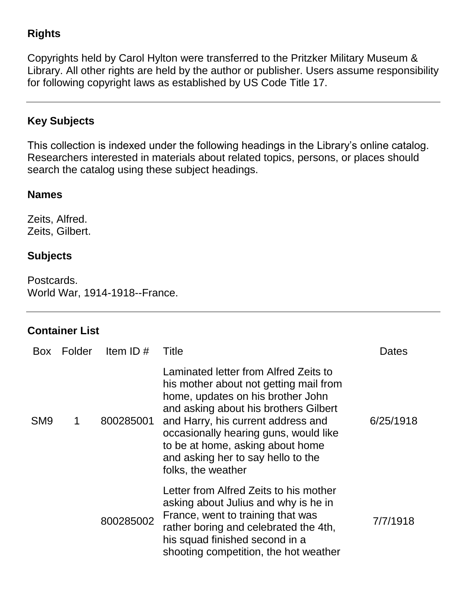## **Rights**

Copyrights held by Carol Hylton were transferred to the Pritzker Military Museum & Library. All other rights are held by the author or publisher. Users assume responsibility for following copyright laws as established by US Code Title 17.

## **Key Subjects**

This collection is indexed under the following headings in the Library's online catalog. Researchers interested in materials about related topics, persons, or places should search the catalog using these subject headings.

#### **Names**

Zeits, Alfred. Zeits, Gilbert.

## **Subjects**

Postcards. World War, 1914-1918--France.

## **Container List**

| <b>Box</b>      | Folder | Item ID $#$ | Title                                                                                                                                                                                                                                                                                                                                        | Dates     |
|-----------------|--------|-------------|----------------------------------------------------------------------------------------------------------------------------------------------------------------------------------------------------------------------------------------------------------------------------------------------------------------------------------------------|-----------|
| SM <sub>9</sub> | 1      | 800285001   | Laminated letter from Alfred Zeits to<br>his mother about not getting mail from<br>home, updates on his brother John<br>and asking about his brothers Gilbert<br>and Harry, his current address and<br>occasionally hearing guns, would like<br>to be at home, asking about home<br>and asking her to say hello to the<br>folks, the weather | 6/25/1918 |
|                 |        | 800285002   | Letter from Alfred Zeits to his mother<br>asking about Julius and why is he in<br>France, went to training that was<br>rather boring and celebrated the 4th,<br>his squad finished second in a<br>shooting competition, the hot weather                                                                                                      | 7/7/1918  |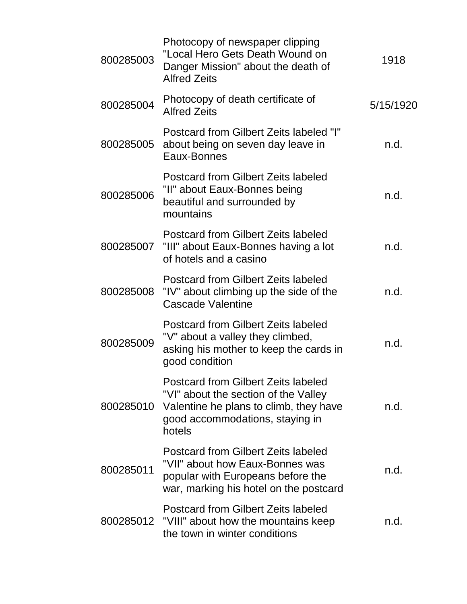| 800285003 | Photocopy of newspaper clipping<br>"Local Hero Gets Death Wound on<br>Danger Mission" about the death of<br><b>Alfred Zeits</b>                                           | 1918      |
|-----------|---------------------------------------------------------------------------------------------------------------------------------------------------------------------------|-----------|
| 800285004 | Photocopy of death certificate of<br><b>Alfred Zeits</b>                                                                                                                  | 5/15/1920 |
| 800285005 | Postcard from Gilbert Zeits labeled "I"<br>about being on seven day leave in<br>Eaux-Bonnes                                                                               | n.d.      |
| 800285006 | <b>Postcard from Gilbert Zeits labeled</b><br>"II" about Eaux-Bonnes being<br>beautiful and surrounded by<br>mountains                                                    | n.d.      |
|           | Postcard from Gilbert Zeits labeled<br>800285007 "III" about Eaux-Bonnes having a lot<br>of hotels and a casino                                                           | n.d.      |
| 800285008 | <b>Postcard from Gilbert Zeits labeled</b><br>"IV" about climbing up the side of the<br>Cascade Valentine                                                                 | n.d.      |
| 800285009 | Postcard from Gilbert Zeits labeled<br>"V" about a valley they climbed,<br>asking his mother to keep the cards in<br>good condition                                       | n.d.      |
| 800285010 | <b>Postcard from Gilbert Zeits labeled</b><br>"VI" about the section of the Valley<br>Valentine he plans to climb, they have<br>good accommodations, staying in<br>hotels | n.d.      |
| 800285011 | Postcard from Gilbert Zeits labeled<br>"VII" about how Eaux-Bonnes was<br>popular with Europeans before the<br>war, marking his hotel on the postcard                     | n.d.      |
|           | <b>Postcard from Gilbert Zeits labeled</b><br>800285012 "VIII" about how the mountains keep<br>the town in winter conditions                                              | n.d.      |